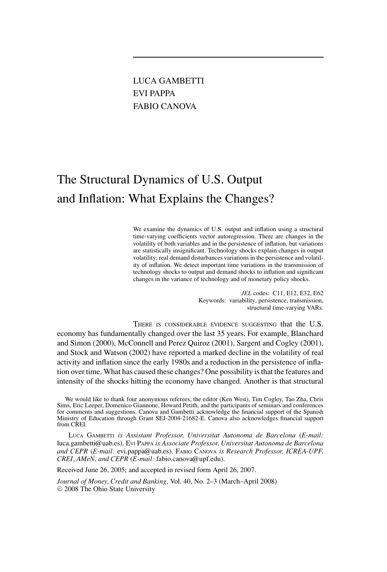# LUCA GAMBETTI EVI PAPPA FABIO CANOVA

# The Structural Dynamics of U.S. Output and Inflation: What Explains the Changes?

We examine the dynamics of U.S. output and inflation using a structural time-varying coefficients vector autoregression. There are changes in the volatility of both variables and in the persistence of inflation, but variations are statistically insignificant. Technology shocks explain changes in output volatility; real demand disturbances variations in the persistence and volatility of inflation. We detect important time variations in the transmission of technology shocks to output and demand shocks to inflation and significant changes in the variance of technology and of monetary policy shocks.

> *JEL* codes: C11, E12, E32, E62 Keywords: variability, persistence, transmission, structural time-varying VARs.

THERE IS CONSIDERABLE EVIDENCE SUGGESTING that the U.S. economy has fundamentally changed over the last 35 years. For example, Blanchard and Simon (2000), McConnell and Perez Quiroz (2001), Sargent and Cogley (2001), and Stock and Watson (2002) have reported a marked decline in the volatility of real activity and inflation since the early 1980s and a reduction in the persistence of inflation over time. What has caused these changes? One possibility is that the features and intensity of the shocks hitting the economy have changed. Another is that structural

LUCA GAMBETTI *is Assistant Professor, Universitat Autonoma de Barcelona* (*E-mail:* luca.gambetti@uab.es). EVI PAPPA *is Associate Professor, Universitat Autonoma de Barcelona and CEPR* (*E-mail:* evi.pappa@uab.es). FABIO CANOVA *is Research Professor, ICREA-UPF, CREI, AMeN, and CEPR* (*E-mail:* fabio.canova@upf.edu).

Received June 26, 2005; and accepted in revised form April 26, 2007.

*Journal of Money, Credit and Banking,* Vol. 40, No. 2–3 (March–April 2008) © 2008 The Ohio State University

We would like to thank four anonymous referees, the editor (Ken West), Tim Cogley, Tao Zha, Chris Sims, Eric Leeper, Domenico Giannone, Howard Petith, and the participants of seminars and conferences for comments and suggestions. Canova and Gambetti acknowledge the financial support of the Spanish Ministry of Education through Grant SEJ-2004-21682-E. Canova also acknowledges financial support from CREI.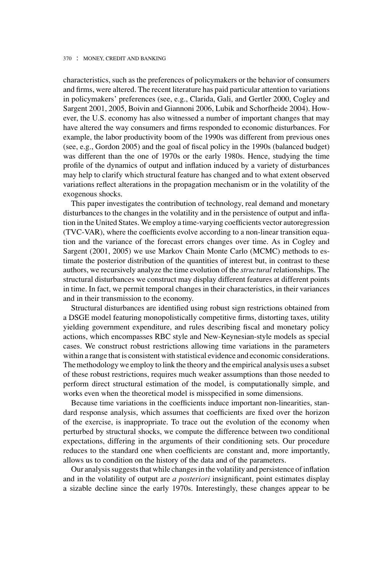characteristics, such as the preferences of policymakers or the behavior of consumers and firms, were altered. The recent literature has paid particular attention to variations in policymakers' preferences (see, e.g., Clarida, Gali, and Gertler 2000, Cogley and Sargent 2001, 2005, Boivin and Giannoni 2006, Lubik and Schorfheide 2004). However, the U.S. economy has also witnessed a number of important changes that may have altered the way consumers and firms responded to economic disturbances. For example, the labor productivity boom of the 1990s was different from previous ones (see, e.g., Gordon 2005) and the goal of fiscal policy in the 1990s (balanced budget) was different than the one of 1970s or the early 1980s. Hence, studying the time profile of the dynamics of output and inflation induced by a variety of disturbances may help to clarify which structural feature has changed and to what extent observed variations reflect alterations in the propagation mechanism or in the volatility of the exogenous shocks.

This paper investigates the contribution of technology, real demand and monetary disturbances to the changes in the volatility and in the persistence of output and inflation in the United States. We employ a time-varying coefficients vector autoregression (TVC-VAR), where the coefficients evolve according to a non-linear transition equation and the variance of the forecast errors changes over time. As in Cogley and Sargent (2001, 2005) we use Markov Chain Monte Carlo (MCMC) methods to estimate the posterior distribution of the quantities of interest but, in contrast to these authors, we recursively analyze the time evolution of the *structural* relationships. The structural disturbances we construct may display different features at different points in time. In fact, we permit temporal changes in their characteristics, in their variances and in their transmission to the economy.

Structural disturbances are identified using robust sign restrictions obtained from a DSGE model featuring monopolistically competitive firms, distorting taxes, utility yielding government expenditure, and rules describing fiscal and monetary policy actions, which encompasses RBC style and New-Keynesian-style models as special cases. We construct robust restrictions allowing time variations in the parameters within a range that is consistent with statistical evidence and economic considerations. The methodology we employ to link the theory and the empirical analysis uses a subset of these robust restrictions, requires much weaker assumptions than those needed to perform direct structural estimation of the model, is computationally simple, and works even when the theoretical model is misspecified in some dimensions.

Because time variations in the coefficients induce important non-linearities, standard response analysis, which assumes that coefficients are fixed over the horizon of the exercise, is inappropriate. To trace out the evolution of the economy when perturbed by structural shocks, we compute the difference between two conditional expectations, differing in the arguments of their conditioning sets. Our procedure reduces to the standard one when coefficients are constant and, more importantly, allows us to condition on the history of the data and of the parameters.

Our analysis suggests that while changes in the volatility and persistence of inflation and in the volatility of output are *a posteriori* insignificant, point estimates display a sizable decline since the early 1970s. Interestingly, these changes appear to be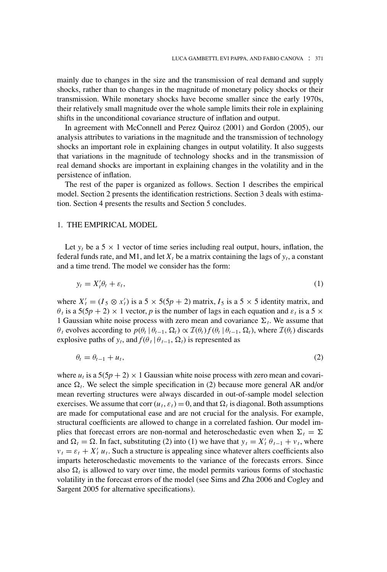mainly due to changes in the size and the transmission of real demand and supply shocks, rather than to changes in the magnitude of monetary policy shocks or their transmission. While monetary shocks have become smaller since the early 1970s, their relatively small magnitude over the whole sample limits their role in explaining shifts in the unconditional covariance structure of inflation and output.

In agreement with McConnell and Perez Quiroz (2001) and Gordon (2005), our analysis attributes to variations in the magnitude and the transmission of technology shocks an important role in explaining changes in output volatility. It also suggests that variations in the magnitude of technology shocks and in the transmission of real demand shocks are important in explaining changes in the volatility and in the persistence of inflation.

The rest of the paper is organized as follows. Section 1 describes the empirical model. Section 2 presents the identification restrictions. Section 3 deals with estimation. Section 4 presents the results and Section 5 concludes.

# 1. THE EMPIRICAL MODEL

Let  $y_t$  be a 5  $\times$  1 vector of time series including real output, hours, inflation, the federal funds rate, and M1, and let  $X_t$  be a matrix containing the lags of  $y_t$ , a constant and a time trend. The model we consider has the form:

$$
y_t = X_t' \theta_t + \varepsilon_t,\tag{1}
$$

where  $X'_t = (I_5 \otimes x'_t)$  is a 5 × 5(5*p* + 2) matrix, *I*<sub>5</sub> is a 5 × 5 identity matrix, and  $\theta_t$  is a 5(5*p* + 2) × 1 vector, *p* is the number of lags in each equation and  $\varepsilon_t$  is a 5 × 1 Gaussian white noise process with zero mean and covariance  $\Sigma_t$ . We assume that  $\theta_t$  evolves according to  $p(\theta_t | \theta_{t-1}, \Omega_t) \propto \mathcal{I}(\theta_t) f(\theta_t | \theta_{t-1}, \Omega_t)$ , where  $\mathcal{I}(\theta_t)$  discards explosive paths of  $y_t$ , and  $f(\theta_t | \theta_{t-1}, \Omega_t)$  is represented as

$$
\theta_t = \theta_{t-1} + u_t,\tag{2}
$$

where  $u_t$  is a  $5(5p + 2) \times 1$  Gaussian white noise process with zero mean and covariance  $\Omega_t$ . We select the simple specification in (2) because more general AR and/or mean reverting structures were always discarded in out-of-sample model selection exercises. We assume that corr  $(u_t, \varepsilon_t) = 0$ , and that  $\Omega_t$  is diagonal. Both assumptions are made for computational ease and are not crucial for the analysis. For example, structural coefficients are allowed to change in a correlated fashion. Our model implies that forecast errors are non-normal and heteroschedastic even when  $\Sigma_t = \Sigma$ and  $\Omega_t = \Omega$ . In fact, substituting (2) into (1) we have that  $y_t = X'_t \theta_{t-1} + v_t$ , where  $v_t = \varepsilon_t + X_t' u_t$ . Such a structure is appealing since whatever alters coefficients also imparts heteroschedastic movements to the variance of the forecasts errors. Since also  $\Omega_t$  is allowed to vary over time, the model permits various forms of stochastic volatility in the forecast errors of the model (see Sims and Zha 2006 and Cogley and Sargent 2005 for alternative specifications).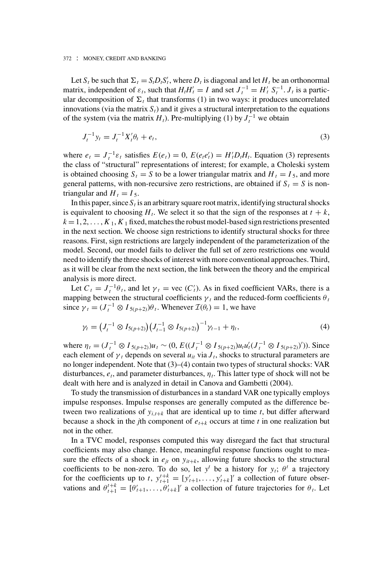Let  $S_t$  be such that  $\Sigma_t = S_t D_t S'_t$ , where  $D_t$  is diagonal and let  $H_t$  be an orthonormal matrix, independent of  $\varepsilon_t$ , such that  $H_t H_t' = I$  and set  $J_t^{-1} = H_t' S_t^{-1}$ .  $J_t$  is a particular decomposition of  $\Sigma_t$  that transforms (1) in two ways: it produces uncorrelated innovations (via the matrix  $S_t$ ) and it gives a structural interpretation to the equations of the system (via the matrix  $H_t$ ). Pre-multiplying (1) by  $J_t^{-1}$  we obtain

$$
J_t^{-1} y_t = J_t^{-1} X_t' \theta_t + e_t,
$$
\n(3)

where  $e_t = J_t^{-1} \varepsilon_t$  satisfies  $E(e_t) = 0$ ,  $E(e_t e_t') = H_t'D_t H_t$ . Equation (3) represents the class of "structural" representations of interest; for example, a Choleski system is obtained choosing  $S_t = S$  to be a lower triangular matrix and  $H_t = I_5$ , and more general patterns, with non-recursive zero restrictions, are obtained if  $S_t = S$  is nontriangular and  $H_t = I_5$ .

In this paper, since  $S_t$  is an arbitrary square root matrix, identifying structural shocks is equivalent to choosing  $H_t$ . We select it so that the sign of the responses at  $t + k$ ,  $k = 1, 2, \ldots, K_1, K_1$  fixed, matches the robust model-based sign restrictions presented in the next section. We choose sign restrictions to identify structural shocks for three reasons. First, sign restrictions are largely independent of the parameterization of the model. Second, our model fails to deliver the full set of zero restrictions one would need to identify the three shocks of interest with more conventional approaches. Third, as it will be clear from the next section, the link between the theory and the empirical analysis is more direct.

Let  $C_t = J_t^{-1} \theta_t$ , and let  $\gamma_t = \text{vec}(C_t)$ . As in fixed coefficient VARs, there is a mapping between the structural coefficients  $\gamma_t$  and the reduced-form coefficients  $\theta_t$ since  $\gamma_t = (J_t^{-1} \otimes I_{5(p+2)})\theta_t$ . Whenever  $\mathcal{I}(\theta_t) = 1$ , we have

$$
\gamma_t = \left(J_t^{-1} \otimes I_{5(p+2)}\right) \left(J_{t-1}^{-1} \otimes I_{5(p+2)}\right)^{-1} \gamma_{t-1} + \eta_t,
$$
\n(4)

where  $\eta_t = (J_t^{-1} \otimes I_{5(p+2)}) u_t \sim (0, E((J_t^{-1} \otimes I_{5(p+2)}) u_t u_t' (J_t^{-1} \otimes I_{5(p+2)})'))$ . Since each element of  $\gamma_t$  depends on several  $u_{it}$  via  $J_t$ , shocks to structural parameters are no longer independent. Note that (3)–(4) contain two types of structural shocks: VAR disturbances,  $e_t$ , and parameter disturbances,  $\eta_t$ . This latter type of shock will not be dealt with here and is analyzed in detail in Canova and Gambetti (2004).

To study the transmission of disturbances in a standard VAR one typically employs impulse responses. Impulse responses are generally computed as the difference between two realizations of  $y_{i,t+k}$  that are identical up to time *t*, but differ afterward because a shock in the *j*th component of  $e_{t+k}$  occurs at time *t* in one realization but not in the other.

In a TVC model, responses computed this way disregard the fact that structural coefficients may also change. Hence, meaningful response functions ought to measure the effects of a shock in  $e_{it}$  on  $y_{it+k}$ , allowing future shocks to the structural coefficients to be non-zero. To do so, let  $y^t$  be a history for  $y_t$ ;  $\theta^t$  a trajectory for the coefficients up to *t*,  $y_{t+1}^{t+k} = [y'_{t+1}, \ldots, y'_{t+k}]'$  a collection of future observations and  $\theta_{t+1}^{t+k} = [\theta_{t+1}', \ldots, \theta_{t+k}']'$  a collection of future trajectories for  $\theta_t$ . Let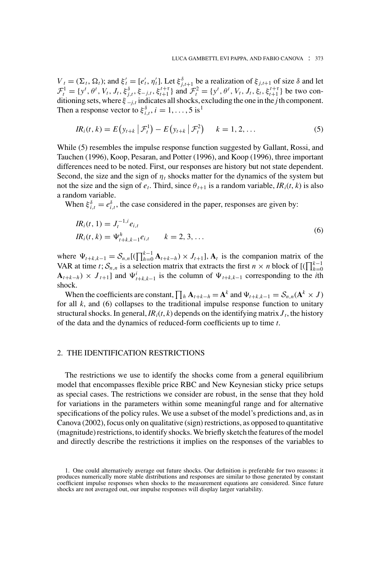$V_t = (\Sigma_t, \Omega_t)$ ; and  $\xi'_t = [e'_t, \eta'_t]$ . Let  $\xi_{j,t+1}^{\delta}$  be a realization of  $\xi_{j,t+1}$  of size  $\delta$  and let  $\mathcal{F}_t^1 = \{y^t, \theta^t, V_t, J_t, \xi_{j,t}^{\delta}, \xi_{-j,t}, \xi_{t+1}^{t+\tau} \}$  and  $\mathcal{F}_t^2 = \{y^t, \theta^t, V_t, J_t, \xi_t, \xi_{t+1}^{t+\tau} \}$  be two conditioning sets, where  $\xi_{-j,t}$  indicates all shocks, excluding the one in the *j* th component. Then a response vector to  $\xi_{i,t}^{\delta}$ ,  $i = 1, ..., 5$  is<sup>1</sup>

$$
IR_i(t, k) = E(y_{t+k} | \mathcal{F}_t^1) - E(y_{t+k} | \mathcal{F}_t^2) \qquad k = 1, 2, ... \tag{5}
$$

While (5) resembles the impulse response function suggested by Gallant, Rossi, and Tauchen (1996), Koop, Pesaran, and Potter (1996), and Koop (1996), three important differences need to be noted. First, our responses are history but not state dependent. Second, the size and the sign of  $\eta_t$  shocks matter for the dynamics of the system but not the size and the sign of  $e_t$ . Third, since  $\theta_{t+1}$  is a random variable,  $IR_i(t, k)$  is also a random variable.

When  $\xi_{i,t}^{\delta} = e_{i,t}^{\delta}$ , the case considered in the paper, responses are given by:

$$
IR_i(t, 1) = J_t^{-1,i} e_{i,t}
$$
  
\n
$$
IR_i(t, k) = \Psi_{t+k,k-1}^h e_{i,t} \qquad k = 2, 3, ...
$$
\n(6)

where  $\Psi_{t+k,k-1} = S_{n,n}[(\prod_{h=0}^{k-1} \mathbf{A}_{t+k-h}) \times J_{t+1}]$ ,  $\mathbf{A}_t$  is the companion matrix of the VAR at time *t*;  $S_{n,n}$  is a selection matrix that extracts the first *n* × *n* block of  $[(\prod_{h=0}^{k-1} A_h)^2]$  $\mathbf{A}_{t+k-h}$ ) ×  $J_{t+1}$  and  $\Psi_{t+k,k-1}^i$  is the column of  $\Psi_{t+k,k-1}$  corresponding to the *i*th shock.

When the coefficients are constant,  $\prod_h \mathbf{A}_{t+k-h} = \mathbf{A}^k$  and  $\Psi_{t+k,k-1} = \mathcal{S}_{n,n}(\mathbf{A}^k \times J)$ for all  $k$ , and  $(6)$  collapses to the traditional impulse response function to unitary structural shocks. In general,  $IR_i(t, k)$  depends on the identifying matrix  $J_t$ , the history of the data and the dynamics of reduced-form coefficients up to time *t*.

# 2. THE IDENTIFICATION RESTRICTIONS

The restrictions we use to identify the shocks come from a general equilibrium model that encompasses flexible price RBC and New Keynesian sticky price setups as special cases. The restrictions we consider are robust, in the sense that they hold for variations in the parameters within some meaningful range and for alternative specifications of the policy rules. We use a subset of the model's predictions and, as in Canova (2002), focus only on qualitative (sign) restrictions, as opposed to quantitative (magnitude) restrictions, to identify shocks. We briefly sketch the features of the model and directly describe the restrictions it implies on the responses of the variables to

<sup>1.</sup> One could alternatively average out future shocks. Our definition is preferable for two reasons: it produces numerically more stable distributions and responses are similar to those generated by constant coefficient impulse responses when shocks to the measurement equations are considered. Since future shocks are not averaged out, our impulse responses will display larger variability.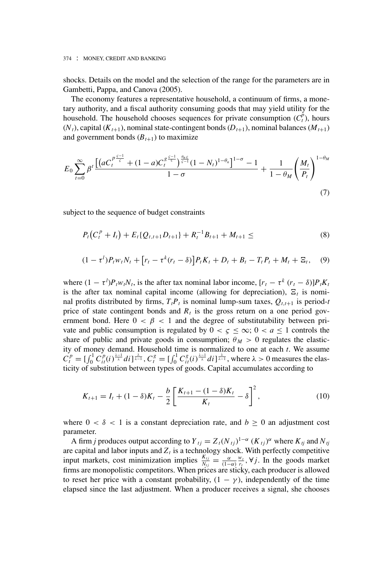shocks. Details on the model and the selection of the range for the parameters are in Gambetti, Pappa, and Canova (2005).

The economy features a representative household, a continuum of firms, a monetary authority, and a fiscal authority consuming goods that may yield utility for the household. The household chooses sequences for private consumption  $(C_t^{\tilde{p}})$ , hours  $(N_t)$ , capital  $(K_{t+1})$ , nominal state-contingent bonds  $(D_{t+1})$ , nominal balances  $(M_{t+1})$ and government bonds  $(B_{t+1})$  to maximize

$$
E_0 \sum_{t=0}^{\infty} \beta^t \frac{\left[ \left( a C_t^{\frac{p \zeta - 1}{\zeta}} + (1 - a) C_t^{\frac{q \zeta - 1}{\zeta}} \right)_{\zeta - 1}^{\frac{\theta_{n\zeta}}{\zeta}} (1 - N_t)^{1 - \theta_n} \right]^{1 - \sigma} - 1}{1 - \sigma} + \frac{1}{1 - \theta_M} \left( \frac{M_t}{P_t} \right)^{1 - \theta_M}
$$
(7)

subject to the sequence of budget constraints

$$
P_t(C_t^p + I_t) + E_t\{Q_{t,t+1}D_{t+1}\} + R_t^{-1}B_{t+1} + M_{t+1} \leq
$$
\n(8)

$$
(1 - \tau^{l})P_{t}w_{t}N_{t} + [r_{t} - \tau^{k}(r_{t} - \delta)]P_{t}K_{t} + D_{t} + B_{t} - T_{t}P_{t} + M_{t} + \Xi_{t}, \quad (9)
$$

where  $(1 - \tau^l)P_t w_t N_t$ , is the after tax nominal labor income,  $[r_t - \tau^k (r_t - \delta)]P_t K_t$ is the after tax nominal capital income (allowing for depreciation),  $E_t$  is nominal profits distributed by firms,  $T_t P_t$  is nominal lump-sum taxes,  $Q_{t,t+1}$  is period-*t* price of state contingent bonds and  $R_t$  is the gross return on a one period government bond. Here  $0 < \beta < 1$  and the degree of substitutability between private and public consumption is regulated by  $0 < \varsigma \leq \infty$ ;  $0 < a \leq 1$  controls the share of public and private goods in consumption;  $\theta_M > 0$  regulates the elasticity of money demand. Household time is normalized to one at each *t*. We assume  $C_t^p = \left[\int_0^1 C_{it}^p(i)^{\frac{\lambda-1}{\lambda}} di\right]^{\frac{\lambda}{\lambda-1}}, C_t^g = \left[\int_0^1 C_{it}^g(i)^{\frac{\lambda-1}{\lambda}} di\right]^{\frac{\lambda}{\lambda-1}},$  where  $\lambda > 0$  measures the elasticity of substitution between types of goods. Capital accumulates according to

$$
K_{t+1} = I_t + (1 - \delta)K_t - \frac{b}{2} \left[ \frac{K_{t+1} - (1 - \delta)K_t}{K_t} - \delta \right]^2, \tag{10}
$$

where  $0 < \delta < 1$  is a constant depreciation rate, and  $b \ge 0$  an adjustment cost parameter.

A firm *j* produces output according to  $Y_{tj} = Z_t (N_{tj})^{1-\alpha} (K_{tj})^{\alpha}$  where  $K_{tj}$  and  $N_{tj}$ are capital and labor inputs and  $Z_t$  is a technology shock. With perfectly competitive input markets, cost minimization implies  $\frac{K_{ij}}{N_{ij}} = \frac{\alpha}{(1-\alpha)} \frac{w_i}{r_i}$ ,  $\forall j$ . In the goods market firms are monopolistic competitors. When prices are sticky, each producer is allowed to reset her price with a constant probability,  $(1 - \gamma)$ , independently of the time elapsed since the last adjustment. When a producer receives a signal, she chooses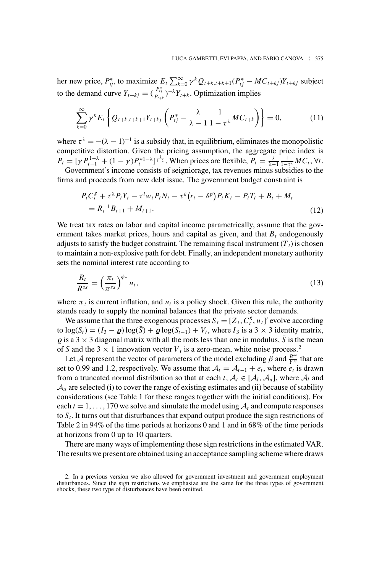her new price,  $P_{ij}^*$ , to maximize  $E_t \sum_{k=0}^{\infty} \gamma^k Q_{t+k,t+k+1}(P_{tj}^* - MC_{t+kj})Y_{t+kj}$  subject to the demand curve  $Y_{t+kj} = \left(\frac{P_{tj}^*}{P_{t+k}}\right)^{-\lambda} Y_{t+k}$ . Optimization implies

$$
\sum_{k=0}^{\infty} \gamma^k E_t \left\{ Q_{t+k,t+k+1} Y_{t+kj} \left( P_{tj}^* - \frac{\lambda}{\lambda - 1} \frac{1}{1 - \tau^{\lambda}} M C_{t+k} \right) \right\} = 0, \tag{11}
$$

where  $\tau^{\lambda} = -(\lambda - 1)^{-1}$  is a subsidy that, in equilibrium, eliminates the monopolistic competitive distortion. Given the pricing assumption, the aggregate price index is  $P_t = [\gamma P_{t-1}^{1-\lambda} + (1-\gamma)P_t^{*1-\lambda}]^{\frac{1}{1-\lambda}}$ . When prices are flexible,  $P_t = \frac{\lambda}{\lambda-1} \frac{1}{1-\tau^{\lambda}} MC_t$ ,  $\forall t$ .

Government's income consists of seigniorage, tax revenues minus subsidies to the firms and proceeds from new debt issue. The government budget constraint is

$$
P_t C_t^g + \tau^{\lambda} P_t Y_t - \tau^l w_t P_t N_t - \tau^k (r_t - \delta^p) P_t K_t - P_t T_t + B_t + M_t
$$
  
=  $R_t^{-1} B_{t+1} + M_{t+1}.$  (12)

We treat tax rates on labor and capital income parametrically, assume that the government takes market prices, hours and capital as given, and that  $B_t$  endogenously adjusts to satisfy the budget constraint. The remaining fiscal instrument  $(T_t)$  is chosen to maintain a non-explosive path for debt. Finally, an independent monetary authority sets the nominal interest rate according to

$$
\frac{R_t}{R^{ss}} = \left(\frac{\pi_t}{\pi^{ss}}\right)^{\phi_{\pi}} u_t,\tag{13}
$$

where  $\pi_t$  is current inflation, and  $u_t$  is a policy shock. Given this rule, the authority stands ready to supply the nominal balances that the private sector demands.

We assume that the three exogenous processes  $S_t = [Z_t, C_t^g, u_t]$  evolve according to  $\log(S_t) = (I_3 - \rho) \log(\bar{S}) + \rho \log(S_{t-1}) + V_t$ , where  $I_3$  is a 3 × 3 identity matrix,  $\rho$  is a 3  $\times$  3 diagonal matrix with all the roots less than one in modulus,  $\bar{S}$  is the mean of *S* and the 3  $\times$  1 innovation vector  $V_t$  is a zero-mean, white noise process.<sup>2</sup>

Let *A* represent the vector of parameters of the model excluding  $\beta$  and  $\frac{B^{ss}}{Y^{ss}}$  that are set to 0.99 and 1.2, respectively. We assume that  $A_t = A_{t-1} + e_t$ , where  $e_t$  is drawn from a truncated normal distribution so that at each  $t$ ,  $A_t \in [A_t, A_u]$ , where  $A_t$  and  $A_u$  are selected (i) to cover the range of existing estimates and (ii) because of stability considerations (see Table 1 for these ranges together with the initial conditions). For each  $t = 1, \ldots, 170$  we solve and simulate the model using  $A_t$  and compute responses to  $S_t$ . It turns out that disturbances that expand output produce the sign restrictions of Table 2 in 94% of the time periods at horizons 0 and 1 and in 68% of the time periods at horizons from 0 up to 10 quarters.

There are many ways of implementing these sign restrictions in the estimated VAR. The results we present are obtained using an acceptance sampling scheme where draws

<sup>2.</sup> In a previous version we also allowed for government investment and government employment disturbances. Since the sign restrictions we emphasize are the same for the three types of government shocks, these two type of disturbances have been omitted.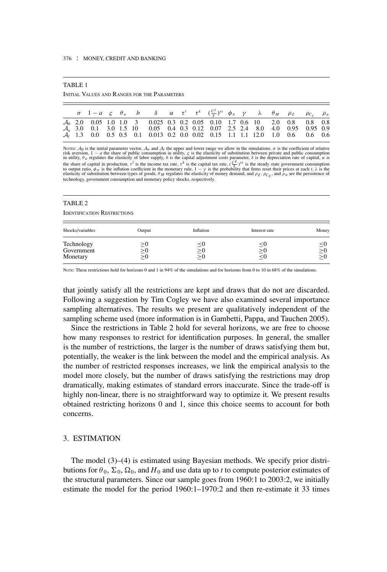| o. |
|----|
|----|

INITIAL VALUES AND RANGES FOR THE PARAMETERS

|  |  |  | $\sigma$ 1 - a $\varsigma$ $\theta_n$ b $\delta$ $\alpha$ $\tau^l$ $\tau^k$ $(\frac{C^g}{Y})^{ss}$ $\phi_{\pi}$ $\gamma$ $\lambda$ $\theta_M$ $\rho_Z$ $\rho_{C_g}$ $\rho_u$ |  |  |  |  |  |  |
|--|--|--|------------------------------------------------------------------------------------------------------------------------------------------------------------------------------|--|--|--|--|--|--|
|  |  |  | $\mathcal{A}_0$ 2.0 0.05 1.0 1.0 3 0.025 0.3 0.2 0.05 0.10 1.7 0.6 10 2.0 0.8 0.8 0.8                                                                                        |  |  |  |  |  |  |
|  |  |  | $A_u$ 3.0 0.1 3.0 1.5 10 0.05 0.4 0.3 0.12 0.07 2.5 2.4 8.0 4.0 0.95 0.95 0.9                                                                                                |  |  |  |  |  |  |
|  |  |  | A <sub>1</sub> 1.3 0.0 0.5 0.5 0.1 0.013 0.2 0.0 0.02 0.15 1.1 1.1 12.0 1.0 0.6 0.6 0.6                                                                                      |  |  |  |  |  |  |

Nores:  $A_0$  is the initial parameter vector,  $A_u$  and  $A_l$  the upper and lower range we allow in the simulations.  $\sigma$  is the coefficient of relative risk aversion,  $1 - a$  the share of public consumption in utility,  $\varsigma$  is the elasticity of substitution between private and public consumption<br>in utility,  $\theta_n$  regulates the elasticity of labor supply, *b* is the capita technology, government consumption and monetary policy shocks, respectively.

#### TABLE 2

IDENTIFICATION RESTRICTIONS

| Shocks/variables                     | Output                           | Inflation          | Interest rate              | Money                            |
|--------------------------------------|----------------------------------|--------------------|----------------------------|----------------------------------|
| Technology<br>Government<br>Monetary | $\geq 0$<br>$\geq 0$<br>$\geq 0$ | $\leq$<br>$\geq 0$ | $\simeq$<br>$\geq 0$<br>≦⊍ | $\leq 0$<br>$\leq 0$<br>$\geq 0$ |

Norte: These restrictions hold for horizons 0 and 1 in 94% of the simulations and for horizons from 0 to 10 in 68% of the simulations.

that jointly satisfy all the restrictions are kept and draws that do not are discarded. Following a suggestion by Tim Cogley we have also examined several importance sampling alternatives. The results we present are qualitatively independent of the sampling scheme used (more information is in Gambetti, Pappa, and Tauchen 2005).

Since the restrictions in Table 2 hold for several horizons, we are free to choose how many responses to restrict for identification purposes. In general, the smaller is the number of restrictions, the larger is the number of draws satisfying them but, potentially, the weaker is the link between the model and the empirical analysis. As the number of restricted responses increases, we link the empirical analysis to the model more closely, but the number of draws satisfying the restrictions may drop dramatically, making estimates of standard errors inaccurate. Since the trade-off is highly non-linear, there is no straightforward way to optimize it. We present results obtained restricting horizons 0 and 1, since this choice seems to account for both concerns.

## 3. ESTIMATION

The model (3)–(4) is estimated using Bayesian methods. We specify prior distributions for  $\theta_0$ ,  $\Sigma_0$ ,  $\Omega_0$ , and *H*<sub>0</sub> and use data up to *t* to compute posterior estimates of the structural parameters. Since our sample goes from 1960:1 to 2003:2, we initially estimate the model for the period 1960:1–1970:2 and then re-estimate it 33 times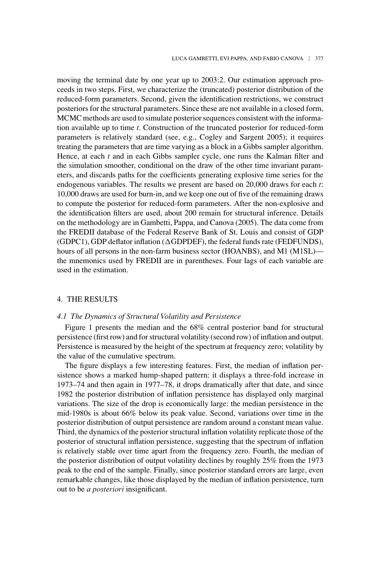moving the terminal date by one year up to 2003:2. Our estimation approach proceeds in two steps. First, we characterize the (truncated) posterior distribution of the reduced-form parameters. Second, given the identification restrictions, we construct posteriors for the structural parameters. Since these are not available in a closed form, MCMC methods are used to simulate posterior sequences consistent with the information available up to time *t*. Construction of the truncated posterior for reduced-form parameters is relatively standard (see, e.g., Cogley and Sargent 2005); it requires treating the parameters that are time varying as a block in a Gibbs sampler algorithm. Hence, at each *t* and in each Gibbs sampler cycle, one runs the Kalman filter and the simulation smoother, conditional on the draw of the other time invariant parameters, and discards paths for the coefficients generating explosive time series for the endogenous variables. The results we present are based on 20,000 draws for each *t*: 10,000 draws are used for burn-in, and we keep one out of five of the remaining draws to compute the posterior for reduced-form parameters. After the non-explosive and the identification filters are used, about 200 remain for structural inference. Details on the methodology are in Gambetti, Pappa, and Canova (2005). The data come from the FREDII database of the Federal Reserve Bank of St. Louis and consist of GDP (GDPC1), GDP deflator inflation ( $\triangle$ GDPDEF), the federal funds rate (FEDFUNDS), hours of all persons in the non-farm business sector (HOANBS), and M1 (M1SL) the mnemonics used by FREDII are in parentheses. Four lags of each variable are used in the estimation.

# 4. THE RESULTS

# *4.1 The Dynamics of Structural Volatility and Persistence*

Figure 1 presents the median and the 68% central posterior band for structural persistence (first row) and for structural volatility (second row) of inflation and output. Persistence is measured by the height of the spectrum at frequency zero; volatility by the value of the cumulative spectrum.

The figure displays a few interesting features. First, the median of inflation persistence shows a marked hump-shaped pattern: it displays a three-fold increase in 1973–74 and then again in 1977–78, it drops dramatically after that date, and since 1982 the posterior distribution of inflation persistence has displayed only marginal variations. The size of the drop is economically large: the median persistence in the mid-1980s is about 66% below its peak value. Second, variations over time in the posterior distribution of output persistence are random around a constant mean value. Third, the dynamics of the posterior structural inflation volatility replicate those of the posterior of structural inflation persistence, suggesting that the spectrum of inflation is relatively stable over time apart from the frequency zero. Fourth, the median of the posterior distribution of output volatility declines by roughly 25% from the 1973 peak to the end of the sample. Finally, since posterior standard errors are large, even remarkable changes, like those displayed by the median of inflation persistence, turn out to be *a posteriori* insignificant.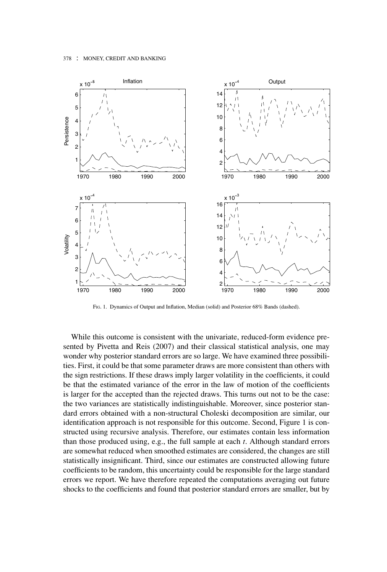

FIG. 1. Dynamics of Output and Inflation, Median (solid) and Posterior 68% Bands (dashed).

While this outcome is consistent with the univariate, reduced-form evidence presented by Pivetta and Reis (2007) and their classical statistical analysis, one may wonder why posterior standard errors are so large. We have examined three possibilities. First, it could be that some parameter draws are more consistent than others with the sign restrictions. If these draws imply larger volatility in the coefficients, it could be that the estimated variance of the error in the law of motion of the coefficients is larger for the accepted than the rejected draws. This turns out not to be the case: the two variances are statistically indistinguishable. Moreover, since posterior standard errors obtained with a non-structural Choleski decomposition are similar, our identification approach is not responsible for this outcome. Second, Figure 1 is constructed using recursive analysis. Therefore, our estimates contain less information than those produced using, e.g., the full sample at each *t*. Although standard errors are somewhat reduced when smoothed estimates are considered, the changes are still statistically insignificant. Third, since our estimates are constructed allowing future coefficients to be random, this uncertainty could be responsible for the large standard errors we report. We have therefore repeated the computations averaging out future shocks to the coefficients and found that posterior standard errors are smaller, but by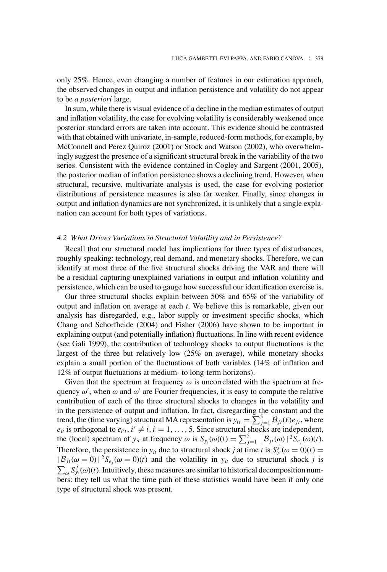only 25%. Hence, even changing a number of features in our estimation approach, the observed changes in output and inflation persistence and volatility do not appear to be *a posteriori* large.

In sum, while there is visual evidence of a decline in the median estimates of output and inflation volatility, the case for evolving volatility is considerably weakened once posterior standard errors are taken into account. This evidence should be contrasted with that obtained with univariate, in-sample, reduced-form methods, for example, by McConnell and Perez Quiroz (2001) or Stock and Watson (2002), who overwhelmingly suggest the presence of a significant structural break in the variability of the two series. Consistent with the evidence contained in Cogley and Sargent (2001, 2005), the posterior median of inflation persistence shows a declining trend. However, when structural, recursive, multivariate analysis is used, the case for evolving posterior distributions of persistence measures is also far weaker. Finally, since changes in output and inflation dynamics are not synchronized, it is unlikely that a single explanation can account for both types of variations.

#### *4.2 What Drives Variations in Structural Volatility and in Persistence?*

Recall that our structural model has implications for three types of disturbances, roughly speaking: technology, real demand, and monetary shocks. Therefore, we can identify at most three of the five structural shocks driving the VAR and there will be a residual capturing unexplained variations in output and inflation volatility and persistence, which can be used to gauge how successful our identification exercise is.

Our three structural shocks explain between 50% and 65% of the variability of output and inflation on average at each *t*. We believe this is remarkable, given our analysis has disregarded, e.g., labor supply or investment specific shocks, which Chang and Schorfheide (2004) and Fisher (2006) have shown to be important in explaining output (and potentially inflation) fluctuations. In line with recent evidence (see Gali 1999), the contribution of technology shocks to output fluctuations is the largest of the three but relatively low (25% on average), while monetary shocks explain a small portion of the fluctuations of both variables (14% of inflation and 12% of output fluctuations at medium- to long-term horizons).

Given that the spectrum at frequency  $\omega$  is uncorrelated with the spectrum at frequency  $\omega'$ , when  $\omega$  and  $\omega'$  are Fourier frequencies, it is easy to compute the relative contribution of each of the three structural shocks to changes in the volatility and in the persistence of output and inflation. In fact, disregarding the constant and the trend, the (time varying) structural MA representation is  $y_{it} = \sum_{j=1}^{5} B_{jt}(\ell) e_{jt}$ , where  $e_{it}$  is orthogonal to  $e_{i't}$ ,  $i' \neq i$ ,  $i = 1, ..., 5$ . Since structural shocks are independent, the (local) spectrum of  $y_{it}$  at frequency  $\omega$  is  $S_{y_i}(\omega)(t) = \sum_{j=1}^5 |\mathcal{B}_{jt}(\omega)|^2 S_{e_j}(\omega)(t)$ . Therefore, the persistence in  $y_{it}$  due to structural shock *j* at time *t* is  $S_{y_i}^j(\omega = 0)(t) =$  $|\mathcal{B}_{jt}(\omega = 0)|^2 S_{e_i}(\omega = 0)(t)$  and the volatility in  $y_{it}$  due to structural shock *j* is  $\sum_{\omega} S_{y_i}^j(\omega)(t)$ . Intuitively, these measures are similar to historical decomposition numbers: they tell us what the time path of these statistics would have been if only one type of structural shock was present.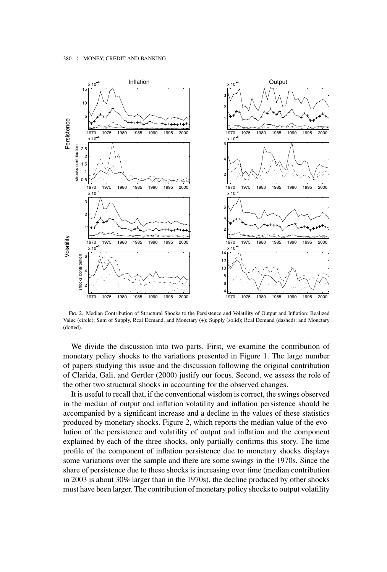

FIG. 2. Median Contribution of Structural Shocks to the Persistence and Volatility of Output and Inflation: Realized Value (circle); Sum of Supply, Real Demand, and Monetary (+); Supply (solid); Real Demand (dashed); and Monetary (dotted).

We divide the discussion into two parts. First, we examine the contribution of monetary policy shocks to the variations presented in Figure 1. The large number of papers studying this issue and the discussion following the original contribution of Clarida, Gali, and Gertler (2000) justify our focus. Second, we assess the role of the other two structural shocks in accounting for the observed changes.

It is useful to recall that, if the conventional wisdom is correct, the swings observed in the median of output and inflation volatility and inflation persistence should be accompanied by a significant increase and a decline in the values of these statistics produced by monetary shocks. Figure 2, which reports the median value of the evolution of the persistence and volatility of output and inflation and the component explained by each of the three shocks, only partially confirms this story. The time profile of the component of inflation persistence due to monetary shocks displays some variations over the sample and there are some swings in the 1970s. Since the share of persistence due to these shocks is increasing over time (median contribution in 2003 is about 30% larger than in the 1970s), the decline produced by other shocks must have been larger. The contribution of monetary policy shocks to output volatility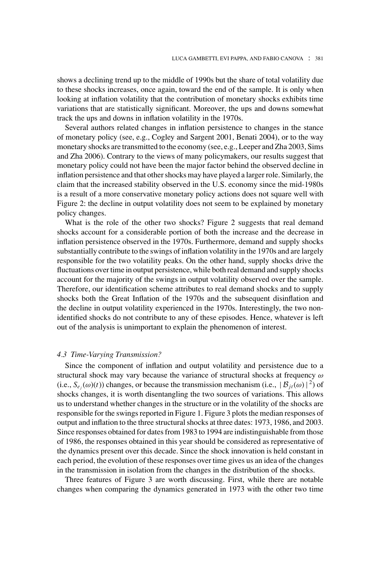shows a declining trend up to the middle of 1990s but the share of total volatility due to these shocks increases, once again, toward the end of the sample. It is only when looking at inflation volatility that the contribution of monetary shocks exhibits time variations that are statistically significant. Moreover, the ups and downs somewhat track the ups and downs in inflation volatility in the 1970s.

Several authors related changes in inflation persistence to changes in the stance of monetary policy (see, e.g., Cogley and Sargent 2001, Benati 2004), or to the way monetary shocks are transmitted to the economy (see, e.g., Leeper and Zha 2003, Sims and Zha 2006). Contrary to the views of many policymakers, our results suggest that monetary policy could not have been the major factor behind the observed decline in inflation persistence and that other shocks may have played a larger role. Similarly, the claim that the increased stability observed in the U.S. economy since the mid-1980s is a result of a more conservative monetary policy actions does not square well with Figure 2: the decline in output volatility does not seem to be explained by monetary policy changes.

What is the role of the other two shocks? Figure 2 suggests that real demand shocks account for a considerable portion of both the increase and the decrease in inflation persistence observed in the 1970s. Furthermore, demand and supply shocks substantially contribute to the swings of inflation volatility in the 1970s and are largely responsible for the two volatility peaks. On the other hand, supply shocks drive the fluctuations over time in output persistence, while both real demand and supply shocks account for the majority of the swings in output volatility observed over the sample. Therefore, our identification scheme attributes to real demand shocks and to supply shocks both the Great Inflation of the 1970s and the subsequent disinflation and the decline in output volatility experienced in the 1970s. Interestingly, the two nonidentified shocks do not contribute to any of these episodes. Hence, whatever is left out of the analysis is unimportant to explain the phenomenon of interest.

# *4.3 Time-Varying Transmission?*

Since the component of inflation and output volatility and persistence due to a structural shock may vary because the variance of structural shocks at frequency  $\omega$ (i.e.,  $S_{e_i}(\omega)(t)$ ) changes, or because the transmission mechanism (i.e.,  $|\mathcal{B}_{it}(\omega)|^2$ ) of shocks changes, it is worth disentangling the two sources of variations. This allows us to understand whether changes in the structure or in the volatility of the shocks are responsible for the swings reported in Figure 1. Figure 3 plots the median responses of output and inflation to the three structural shocks at three dates: 1973, 1986, and 2003. Since responses obtained for dates from 1983 to 1994 are indistinguishable from those of 1986, the responses obtained in this year should be considered as representative of the dynamics present over this decade. Since the shock innovation is held constant in each period, the evolution of these responses over time gives us an idea of the changes in the transmission in isolation from the changes in the distribution of the shocks.

Three features of Figure 3 are worth discussing. First, while there are notable changes when comparing the dynamics generated in 1973 with the other two time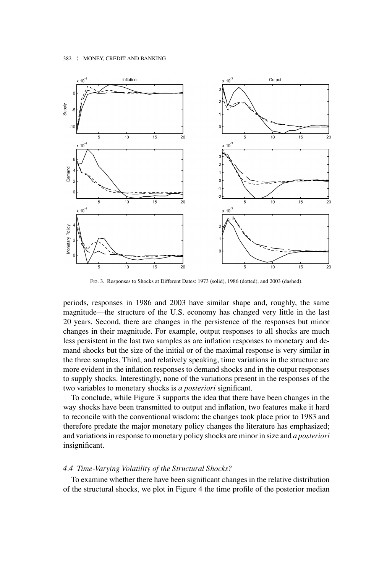

FIG. 3. Responses to Shocks at Different Dates: 1973 (solid), 1986 (dotted), and 2003 (dashed).

periods, responses in 1986 and 2003 have similar shape and, roughly, the same magnitude—the structure of the U.S. economy has changed very little in the last 20 years. Second, there are changes in the persistence of the responses but minor changes in their magnitude. For example, output responses to all shocks are much less persistent in the last two samples as are inflation responses to monetary and demand shocks but the size of the initial or of the maximal response is very similar in the three samples. Third, and relatively speaking, time variations in the structure are more evident in the inflation responses to demand shocks and in the output responses to supply shocks. Interestingly, none of the variations present in the responses of the two variables to monetary shocks is *a posteriori* significant.

To conclude, while Figure 3 supports the idea that there have been changes in the way shocks have been transmitted to output and inflation, two features make it hard to reconcile with the conventional wisdom: the changes took place prior to 1983 and therefore predate the major monetary policy changes the literature has emphasized; and variations in response to monetary policy shocks are minor in size and *a posteriori* insignificant.

# *4.4 Time-Varying Volatility of the Structural Shocks?*

To examine whether there have been significant changes in the relative distribution of the structural shocks, we plot in Figure 4 the time profile of the posterior median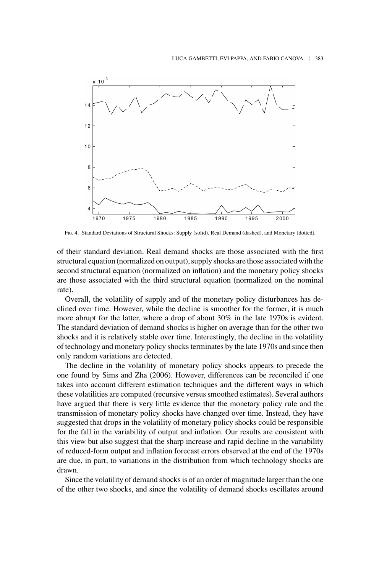

FIG. 4. Standard Deviations of Structural Shocks: Supply (solid), Real Demand (dashed), and Monetary (dotted).

of their standard deviation. Real demand shocks are those associated with the first structural equation (normalized on output), supply shocks are those associated with the second structural equation (normalized on inflation) and the monetary policy shocks are those associated with the third structural equation (normalized on the nominal rate).

Overall, the volatility of supply and of the monetary policy disturbances has declined over time. However, while the decline is smoother for the former, it is much more abrupt for the latter, where a drop of about 30% in the late 1970s is evident. The standard deviation of demand shocks is higher on average than for the other two shocks and it is relatively stable over time. Interestingly, the decline in the volatility of technology and monetary policy shocks terminates by the late 1970s and since then only random variations are detected.

The decline in the volatility of monetary policy shocks appears to precede the one found by Sims and Zha (2006). However, differences can be reconciled if one takes into account different estimation techniques and the different ways in which these volatilities are computed (recursive versus smoothed estimates). Several authors have argued that there is very little evidence that the monetary policy rule and the transmission of monetary policy shocks have changed over time. Instead, they have suggested that drops in the volatility of monetary policy shocks could be responsible for the fall in the variability of output and inflation. Our results are consistent with this view but also suggest that the sharp increase and rapid decline in the variability of reduced-form output and inflation forecast errors observed at the end of the 1970s are due, in part, to variations in the distribution from which technology shocks are drawn.

Since the volatility of demand shocks is of an order of magnitude larger than the one of the other two shocks, and since the volatility of demand shocks oscillates around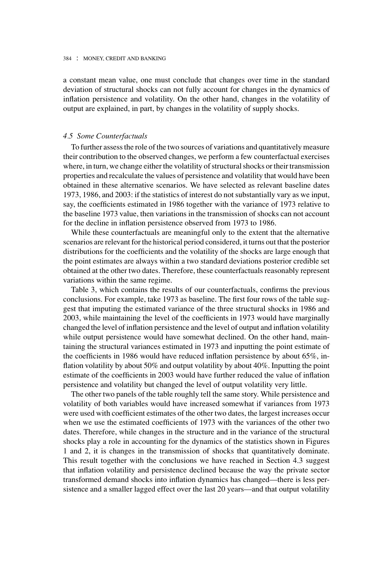a constant mean value, one must conclude that changes over time in the standard deviation of structural shocks can not fully account for changes in the dynamics of inflation persistence and volatility. On the other hand, changes in the volatility of output are explained, in part, by changes in the volatility of supply shocks.

### *4.5 Some Counterfactuals*

To further assess the role of the two sources of variations and quantitatively measure their contribution to the observed changes, we perform a few counterfactual exercises where, in turn, we change either the volatility of structural shocks or their transmission properties and recalculate the values of persistence and volatility that would have been obtained in these alternative scenarios. We have selected as relevant baseline dates 1973, 1986, and 2003: if the statistics of interest do not substantially vary as we input, say, the coefficients estimated in 1986 together with the variance of 1973 relative to the baseline 1973 value, then variations in the transmission of shocks can not account for the decline in inflation persistence observed from 1973 to 1986.

While these counterfactuals are meaningful only to the extent that the alternative scenarios are relevant for the historical period considered, it turns out that the posterior distributions for the coefficients and the volatility of the shocks are large enough that the point estimates are always within a two standard deviations posterior credible set obtained at the other two dates. Therefore, these counterfactuals reasonably represent variations within the same regime.

Table 3, which contains the results of our counterfactuals, confirms the previous conclusions. For example, take 1973 as baseline. The first four rows of the table suggest that imputing the estimated variance of the three structural shocks in 1986 and 2003, while maintaining the level of the coefficients in 1973 would have marginally changed the level of inflation persistence and the level of output and inflation volatility while output persistence would have somewhat declined. On the other hand, maintaining the structural variances estimated in 1973 and inputting the point estimate of the coefficients in 1986 would have reduced inflation persistence by about 65%, inflation volatility by about 50% and output volatility by about 40%. Inputting the point estimate of the coefficients in 2003 would have further reduced the value of inflation persistence and volatility but changed the level of output volatility very little.

The other two panels of the table roughly tell the same story. While persistence and volatility of both variables would have increased somewhat if variances from 1973 were used with coefficient estimates of the other two dates, the largest increases occur when we use the estimated coefficients of 1973 with the variances of the other two dates. Therefore, while changes in the structure and in the variance of the structural shocks play a role in accounting for the dynamics of the statistics shown in Figures 1 and 2, it is changes in the transmission of shocks that quantitatively dominate. This result together with the conclusions we have reached in Section 4.3 suggest that inflation volatility and persistence declined because the way the private sector transformed demand shocks into inflation dynamics has changed—there is less persistence and a smaller lagged effect over the last 20 years—and that output volatility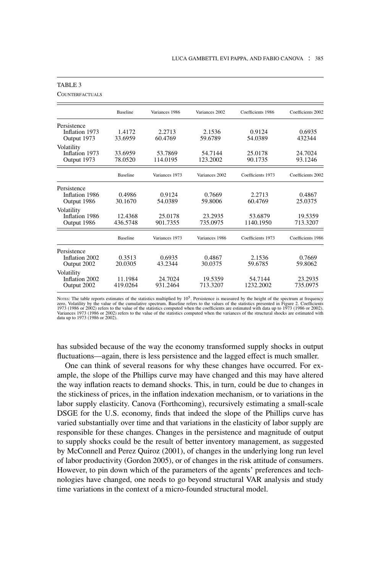|                                              | <b>Baseline</b>     | Variances 1986      | Variances 2002      | Coefficients 1986    | Coefficients 2002   |
|----------------------------------------------|---------------------|---------------------|---------------------|----------------------|---------------------|
| Persistence<br>Inflation 1973<br>Output 1973 | 1.4172<br>33.6959   | 2.2713<br>60.4769   | 2.1536<br>59.6789   | 0.9124<br>54.0389    | 0.6935<br>432344    |
| Volatility<br>Inflation 1973<br>Output 1973  | 33.6959<br>78.0520  | 53.7869<br>114.0195 | 54.7144<br>123.2002 | 25.0178<br>90.1735   | 24.7024<br>93.1246  |
|                                              | <b>Baseline</b>     | Variances 1973      | Variances 2002      | Coefficients 1973    | Coefficients 2002   |
| Persistence<br>Inflation 1986<br>Output 1986 | 0.4986<br>30.1670   | 0.9124<br>54.0389   | 0.7669<br>59.8006   | 2.2713<br>60.4769    | 0.4867<br>25.0375   |
| Volatility<br>Inflation 1986<br>Output 1986  | 12.4368<br>436.5748 | 25.0178<br>901.7355 | 23.2935<br>735.0975 | 53.6879<br>1140.1950 | 19.5359<br>713.3207 |
|                                              | <b>Baseline</b>     | Variances 1973      | Variances 1986      | Coefficients 1973    | Coefficients 1986   |
| Persistence<br>Inflation 2002<br>Output 2002 | 0.3513<br>20.0305   | 0.6935<br>43.2344   | 0.4867<br>30.0375   | 2.1536<br>59.6785    | 0.7669<br>59.8062   |
| Volatility<br>Inflation 2002<br>Output 2002  | 11.1984<br>419.0264 | 24.7024<br>931.2464 | 19.5359<br>713.3207 | 54.7144<br>1232.2002 | 23.2935<br>735.0975 |

#### TABLE 3

**COUNTERFACTUALS** 

Norrs: The table reports estimates of the statistics multiplied by  $10^5$ . Persistence is measured by the height of the spectrum at frequency<br>zero, Volatility by the value of the cumulative spectrum. Baseline refers to th data up to 1973 (1986 or 2002).

has subsided because of the way the economy transformed supply shocks in output fluctuations—again, there is less persistence and the lagged effect is much smaller.

One can think of several reasons for why these changes have occurred. For example, the slope of the Phillips curve may have changed and this may have altered the way inflation reacts to demand shocks. This, in turn, could be due to changes in the stickiness of prices, in the inflation indexation mechanism, or to variations in the labor supply elasticity. Canova (Forthcoming), recursively estimating a small-scale DSGE for the U.S. economy, finds that indeed the slope of the Phillips curve has varied substantially over time and that variations in the elasticity of labor supply are responsible for these changes. Changes in the persistence and magnitude of output to supply shocks could be the result of better inventory management, as suggested by McConnell and Perez Quiroz (2001), of changes in the underlying long run level of labor productivity (Gordon 2005), or of changes in the risk attitude of consumers. However, to pin down which of the parameters of the agents' preferences and technologies have changed, one needs to go beyond structural VAR analysis and study time variations in the context of a micro-founded structural model.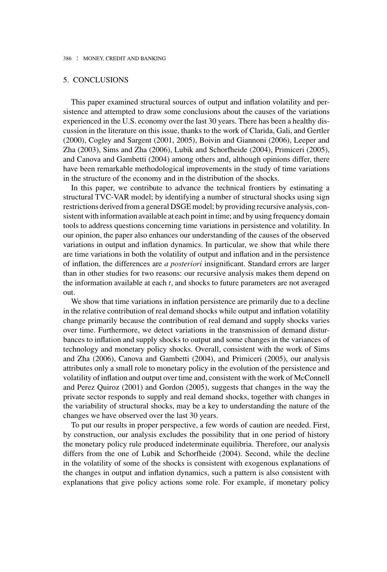# 5. CONCLUSIONS

This paper examined structural sources of output and inflation volatility and persistence and attempted to draw some conclusions about the causes of the variations experienced in the U.S. economy over the last 30 years. There has been a healthy discussion in the literature on this issue, thanks to the work of Clarida, Gali, and Gertler (2000), Cogley and Sargent (2001, 2005), Boivin and Giannoni (2006), Leeper and Zha (2003), Sims and Zha (2006), Lubik and Schorfheide (2004), Primiceri (2005), and Canova and Gambetti (2004) among others and, although opinions differ, there have been remarkable methodological improvements in the study of time variations in the structure of the economy and in the distribution of the shocks.

In this paper, we contribute to advance the technical frontiers by estimating a structural TVC-VAR model; by identifying a number of structural shocks using sign restrictions derived from a general DSGE model; by providing recursive analysis, consistent with information available at each point in time; and by using frequency domain tools to address questions concerning time variations in persistence and volatility. In our opinion, the paper also enhances our understanding of the causes of the observed variations in output and inflation dynamics. In particular, we show that while there are time variations in both the volatility of output and inflation and in the persistence of inflation, the differences are *a posteriori* insignificant. Standard errors are larger than in other studies for two reasons: our recursive analysis makes them depend on the information available at each *t*, and shocks to future parameters are not averaged out.

We show that time variations in inflation persistence are primarily due to a decline in the relative contribution of real demand shocks while output and inflation volatility change primarily because the contribution of real demand and supply shocks varies over time. Furthermore, we detect variations in the transmission of demand disturbances to inflation and supply shocks to output and some changes in the variances of technology and monetary policy shocks. Overall, consistent with the work of Sims and Zha (2006), Canova and Gambetti (2004), and Primiceri (2005), our analysis attributes only a small role to monetary policy in the evolution of the persistence and volatility of inflation and output over time and, consistent with the work of McConnell and Perez Quiroz (2001) and Gordon (2005), suggests that changes in the way the private sector responds to supply and real demand shocks, together with changes in the variability of structural shocks, may be a key to understanding the nature of the changes we have observed over the last 30 years.

To put our results in proper perspective, a few words of caution are needed. First, by construction, our analysis excludes the possibility that in one period of history the monetary policy rule produced indeterminate equilibria. Therefore, our analysis differs from the one of Lubik and Schorfheide (2004). Second, while the decline in the volatility of some of the shocks is consistent with exogenous explanations of the changes in output and inflation dynamics, such a pattern is also consistent with explanations that give policy actions some role. For example, if monetary policy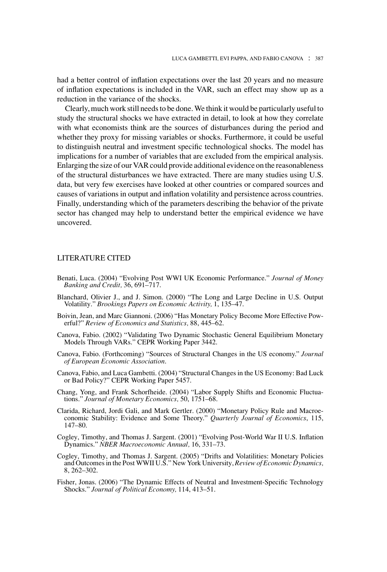had a better control of inflation expectations over the last 20 years and no measure of inflation expectations is included in the VAR, such an effect may show up as a reduction in the variance of the shocks.

Clearly, much work still needs to be done. We think it would be particularly useful to study the structural shocks we have extracted in detail, to look at how they correlate with what economists think are the sources of disturbances during the period and whether they proxy for missing variables or shocks. Furthermore, it could be useful to distinguish neutral and investment specific technological shocks. The model has implications for a number of variables that are excluded from the empirical analysis. Enlarging the size of our VAR could provide additional evidence on the reasonableness of the structural disturbances we have extracted. There are many studies using U.S. data, but very few exercises have looked at other countries or compared sources and causes of variations in output and inflation volatility and persistence across countries. Finally, understanding which of the parameters describing the behavior of the private sector has changed may help to understand better the empirical evidence we have uncovered.

# LITERATURE CITED

- Benati, Luca. (2004) "Evolving Post WWI UK Economic Performance." *Journal of Money Banking and Credit,* 36, 691–717.
- Blanchard, Olivier J., and J. Simon. (2000) "The Long and Large Decline in U.S. Output Volatility." *Brookings Papers on Economic Activity,* 1, 135–47.
- Boivin, Jean, and Marc Giannoni. (2006) "Has Monetary Policy Become More Effective Powerful?" *Review of Economics and Statistics,* 88, 445–62.
- Canova, Fabio. (2002) "Validating Two Dynamic Stochastic General Equilibrium Monetary Models Through VARs." CEPR Working Paper 3442.
- Canova, Fabio. (Forthcoming) "Sources of Structural Changes in the US economy." *Journal of European Economic Association*.
- Canova, Fabio, and Luca Gambetti. (2004) "Structural Changes in the US Economy: Bad Luck or Bad Policy?" CEPR Working Paper 5457.
- Chang, Yong, and Frank Schorfheide. (2004) "Labor Supply Shifts and Economic Fluctuations." *Journal of Monetary Economics,* 50, 1751–68.
- Clarida, Richard, Jordi Gali, and Mark Gertler. (2000) "Monetary Policy Rule and Macroeconomic Stability: Evidence and Some Theory." *Quarterly Journal of Economics*, 115, 147–80.
- Cogley, Timothy, and Thomas J. Sargent. (2001) "Evolving Post-World War II U.S. Inflation Dynamics." *NBER Macroeconomic Annual,* 16, 331–73.
- Cogley, Timothy, and Thomas J. Sargent. (2005) "Drifts and Volatilities: Monetary Policies and Outcomes in the Post WWII U.S." New York University, *Review of Economic Dynamics,* 8, 262–302.
- Fisher, Jonas. (2006) "The Dynamic Effects of Neutral and Investment-Specific Technology Shocks." *Journal of Political Economy,* 114, 413–51.